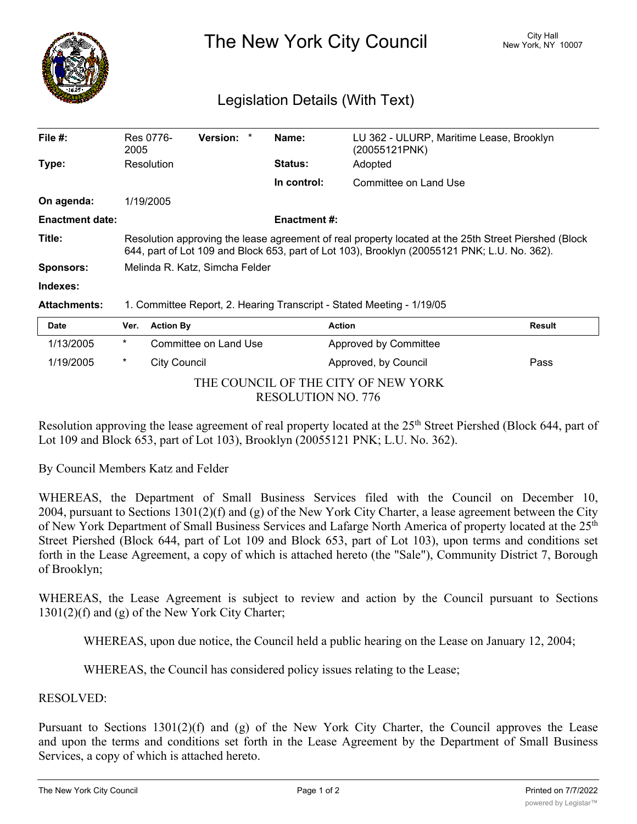

The New York City Council New York, NY 10007

## Legislation Details (With Text)

| File $#$ :             | Res 0776-<br>2005                                                                                                                                                                                    | Version: | Name:               | LU 362 - ULURP, Maritime Lease, Brooklyn<br>(20055121PNK) |               |  |  |
|------------------------|------------------------------------------------------------------------------------------------------------------------------------------------------------------------------------------------------|----------|---------------------|-----------------------------------------------------------|---------------|--|--|
| Type:                  | Resolution                                                                                                                                                                                           |          | <b>Status:</b>      | Adopted                                                   |               |  |  |
|                        |                                                                                                                                                                                                      |          | In control:         | Committee on Land Use                                     |               |  |  |
| On agenda:             | 1/19/2005                                                                                                                                                                                            |          |                     |                                                           |               |  |  |
| <b>Enactment date:</b> |                                                                                                                                                                                                      |          | <b>Enactment #:</b> |                                                           |               |  |  |
| Title:                 | Resolution approving the lease agreement of real property located at the 25th Street Piershed (Block<br>644, part of Lot 109 and Block 653, part of Lot 103), Brooklyn (20055121 PNK; L.U. No. 362). |          |                     |                                                           |               |  |  |
| <b>Sponsors:</b>       | Melinda R. Katz, Simcha Felder                                                                                                                                                                       |          |                     |                                                           |               |  |  |
| Indexes:               |                                                                                                                                                                                                      |          |                     |                                                           |               |  |  |
| <b>Attachments:</b>    | 1. Committee Report, 2. Hearing Transcript - Stated Meeting - 1/19/05                                                                                                                                |          |                     |                                                           |               |  |  |
| <b>Date</b>            | <b>Action By</b><br>Ver.                                                                                                                                                                             |          |                     | <b>Action</b>                                             | <b>Result</b> |  |  |
| 111010000              |                                                                                                                                                                                                      |          |                     |                                                           |               |  |  |

| 1/13/2005                           | $\ast$ | Committee on Land Use | Approved by Committee |      |  |  |  |  |
|-------------------------------------|--------|-----------------------|-----------------------|------|--|--|--|--|
| 1/19/2005                           | *      | City Council          | Approved, by Council  | Pass |  |  |  |  |
| THE COUNCIL OF THE CITY OF NEW YORK |        |                       |                       |      |  |  |  |  |
| RESOLUTION NO. 776                  |        |                       |                       |      |  |  |  |  |

Resolution approving the lease agreement of real property located at the 25<sup>th</sup> Street Piershed (Block 644, part of Lot 109 and Block 653, part of Lot 103), Brooklyn (20055121 PNK; L.U. No. 362).

By Council Members Katz and Felder

WHEREAS, the Department of Small Business Services filed with the Council on December 10, 2004, pursuant to Sections 1301(2)(f) and (g) of the New York City Charter, a lease agreement between the City of New York Department of Small Business Services and Lafarge North America of property located at the 25<sup>th</sup> Street Piershed (Block 644, part of Lot 109 and Block 653, part of Lot 103), upon terms and conditions set forth in the Lease Agreement, a copy of which is attached hereto (the "Sale"), Community District 7, Borough of Brooklyn;

WHEREAS, the Lease Agreement is subject to review and action by the Council pursuant to Sections 1301(2)(f) and (g) of the New York City Charter;

WHEREAS, upon due notice, the Council held a public hearing on the Lease on January 12, 2004;

WHEREAS, the Council has considered policy issues relating to the Lease;

RESOLVED:

Pursuant to Sections 1301(2)(f) and (g) of the New York City Charter, the Council approves the Lease and upon the terms and conditions set forth in the Lease Agreement by the Department of Small Business Services, a copy of which is attached hereto.